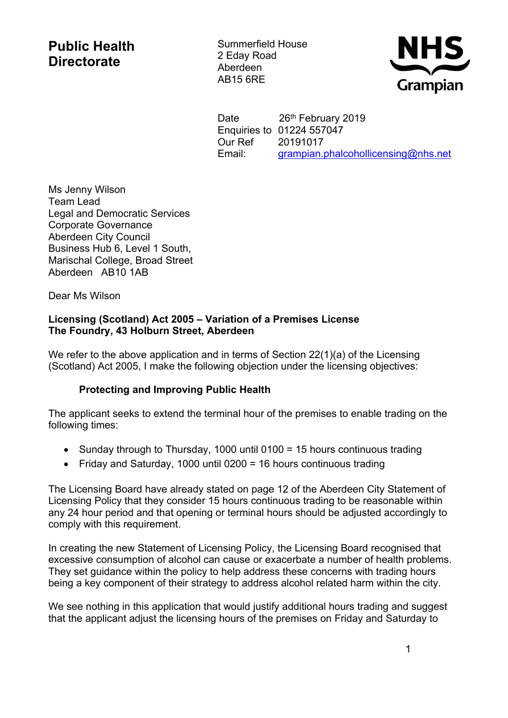## **Public Health Directorate**

Summerfield House 2 Eday Road Aberdeen AB15 6RE



Date 26<sup>th</sup> February 2019 Enquiries to 01224 557047 Our Ref 20191017 Email: [grampian.phalcohollicensing@nhs.net](https://nhsmail1.nhs.net/owa/redir.aspx?SURL=F0-9RO9LBMG1xHU0THPwUNA1L0mS_lqkvh_TZiLIxOsEbXaT8I7TCG0AYQBpAGwAdABvADoAZwByAGEAbQBwAGkAYQBuAC4AcABoAGEAbABjAG8AaABvAGwAbABpAGMAZQBuAHMAaQBuAGcAQABuAGgAcwAuAG4AZQB0AA..&URL=mailto%3agrampian.phalcohollicensing%40nhs.net)

Ms Jenny Wilson Team Lead Legal and Democratic Services Corporate Governance Aberdeen City Council Business Hub 6, Level 1 South, Marischal College, Broad Street Aberdeen AB10 1AB

Dear Ms Wilson

## **Licensing (Scotland) Act 2005 – Variation of a Premises License The Foundry, 43 Holburn Street, Aberdeen**

We refer to the above application and in terms of Section 22(1)(a) of the Licensing (Scotland) Act 2005, I make the following objection under the licensing objectives:

## **Protecting and Improving Public Health**

The applicant seeks to extend the terminal hour of the premises to enable trading on the following times:

- Sunday through to Thursday, 1000 until 0100 = 15 hours continuous trading
- Friday and Saturday, 1000 until 0200 = 16 hours continuous trading

The Licensing Board have already stated on page 12 of the Aberdeen City Statement of Licensing Policy that they consider 15 hours continuous trading to be reasonable within any 24 hour period and that opening or terminal hours should be adjusted accordingly to comply with this requirement.

In creating the new Statement of Licensing Policy, the Licensing Board recognised that excessive consumption of alcohol can cause or exacerbate a number of health problems. They set guidance within the policy to help address these concerns with trading hours being a key component of their strategy to address alcohol related harm within the city.

We see nothing in this application that would justify additional hours trading and suggest that the applicant adjust the licensing hours of the premises on Friday and Saturday to